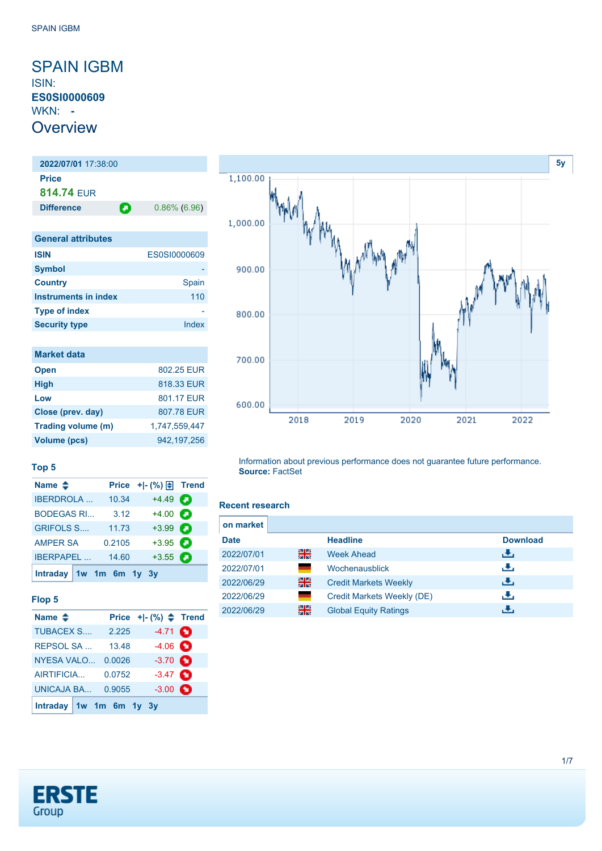### <span id="page-0-0"></span>SPAIN IGBM ISIN: **ES0SI0000609** WKN: **- Overview**

### **2022/07/01** 17:38:00 **Price 814.74** EUR **Difference 0.86% (6.96) General attributes**

| <b>ISIN</b>          | ES0SI0000609 |
|----------------------|--------------|
| <b>Symbol</b>        |              |
| <b>Country</b>       | Spain        |
| Instruments in index | 110          |
| <b>Type of index</b> |              |
| <b>Security type</b> | Index        |

| <b>Market data</b> |               |
|--------------------|---------------|
| <b>Open</b>        | 802.25 EUR    |
| <b>High</b>        | 818.33 EUR    |
| Low                | 801.17 FUR    |
| Close (prev. day)  | 807.78 EUR    |
| Trading volume (m) | 1.747.559.447 |
| Volume (pcs)       | 942.197.256   |



### **Top 5**

| Name $\triangle$     |        | Price $+$ $\mid$ $\cdot$ $\mid \cdot \mid$ Trend |   |
|----------------------|--------|--------------------------------------------------|---|
| <b>IBERDROLA</b>     | 10.34  | $+4.49$                                          | О |
| <b>BODEGAS RI</b>    | 3.12   | $+4.00$                                          |   |
| <b>GRIFOLS S</b>     | 11.73  | $+3.99$ $\bullet$                                |   |
| <b>AMPER SA</b>      | 0.2105 | $+3.95$                                          |   |
| <b>IBERPAPEL</b>     | 14.60  | $+3.55$                                          | о |
| Intraday 1w 1m 6m 1y |        | <b>3</b> V                                       |   |

### **Flop 5**

| Name $\triangle$        |        | Price $+[-(%) \triangleq$ Trend |  |
|-------------------------|--------|---------------------------------|--|
| <b>TUBACEX S</b>        | 2.225  | $-4.71$ $\bullet$               |  |
| <b>REPSOL SA</b>        | 13.48  | $-4.06$ $\bullet$               |  |
| <b>NYESA VALO</b>       | 0.0026 | $-3.70$ $\bullet$               |  |
| AIRTIFICIA              | 0.0752 | $-3.47$ $\bullet$               |  |
| UNICAJA BA              | 0.9055 | $-3.00$ $\bullet$               |  |
| Intraday 1w 1m 6m 1y 3y |        |                                 |  |

#### **Recent research**

**Source:** FactSet

| on market   |       |                              |                 |
|-------------|-------|------------------------------|-----------------|
| <b>Date</b> |       | <b>Headline</b>              | <b>Download</b> |
| 2022/07/01  | 을중    | <b>Week Ahead</b>            | ريان            |
| 2022/07/01  |       | Wochenausblick               | رنان            |
| 2022/06/29  | 을중    | <b>Credit Markets Weekly</b> | رالى            |
| 2022/06/29  | an an | Credit Markets Weekly (DE)   | راق             |
| 2022/06/29  | 을중    | <b>Global Equity Ratings</b> |                 |

Information about previous performance does not guarantee future performance.

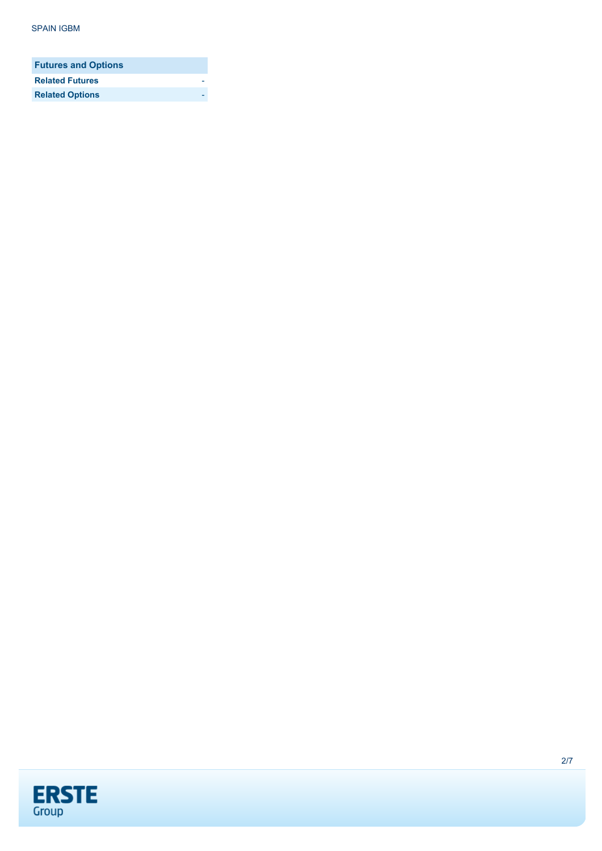| <b>Futures and Options</b> |  |
|----------------------------|--|
| <b>Related Futures</b>     |  |
| <b>Related Options</b>     |  |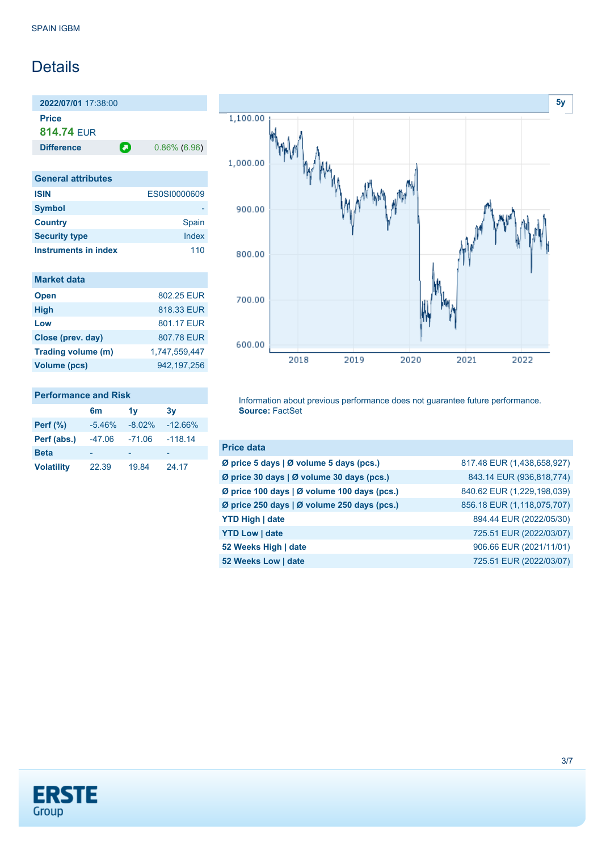## Details

**2022/07/01** 17:38:00 **Price 814.74** EUR **Difference 0.86% (6.96)** 

**General attributes ISIN** ES0SI0000609 **Symbol** - **Country** Spain **Security type** Index **Instruments in index** 110

| <b>Market data</b>  |               |
|---------------------|---------------|
| <b>Open</b>         | 802 25 FUR    |
| <b>High</b>         | 818.33 EUR    |
| Low                 | 801.17 FUR    |
| Close (prev. day)   | 807.78 EUR    |
| Trading volume (m)  | 1,747,559,447 |
| <b>Volume (pcs)</b> | 942.197.256   |

### **Performance and Risk**

|                   | 6m       | 1v       | 3v        |
|-------------------|----------|----------|-----------|
| <b>Perf (%)</b>   | $-5.46%$ | $-8.02%$ | $-12.66%$ |
| Perf (abs.)       | $-47.06$ | $-71.06$ | $-118.14$ |
| <b>Beta</b>       |          |          |           |
| <b>Volatility</b> | 22.39    | 19.84    | 24.17     |



Information about previous performance does not guarantee future performance. **Source:** FactSet

| <b>Price data</b>                           |                            |
|---------------------------------------------|----------------------------|
| Ø price 5 days   Ø volume 5 days (pcs.)     | 817.48 EUR (1,438,658,927) |
| Ø price 30 days   Ø volume 30 days (pcs.)   | 843.14 EUR (936,818,774)   |
| Ø price 100 days   Ø volume 100 days (pcs.) | 840.62 EUR (1,229,198,039) |
| Ø price 250 days   Ø volume 250 days (pcs.) | 856.18 EUR (1,118,075,707) |
| <b>YTD High   date</b>                      | 894.44 EUR (2022/05/30)    |
| <b>YTD Low   date</b>                       | 725.51 EUR (2022/03/07)    |
| 52 Weeks High   date                        | 906.66 EUR (2021/11/01)    |
| 52 Weeks Low   date                         | 725.51 EUR (2022/03/07)    |

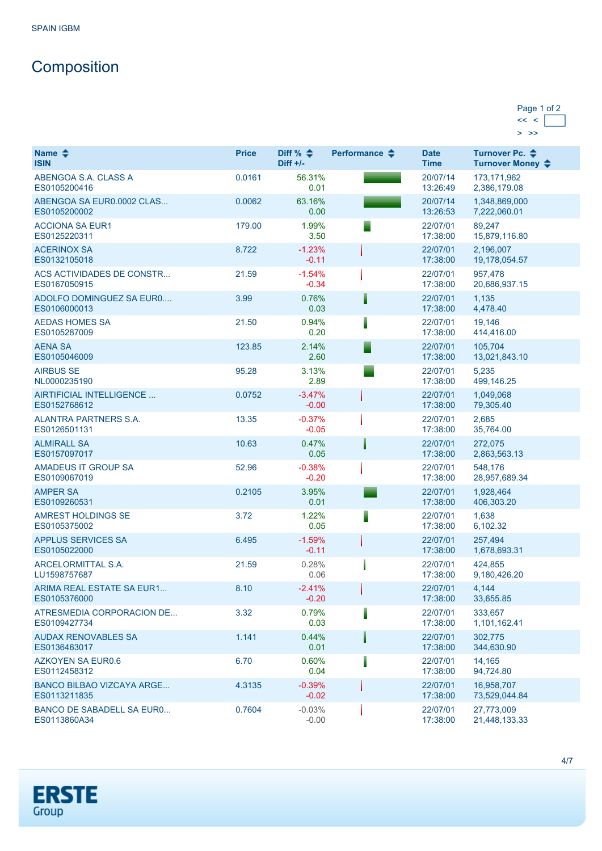# **Composition**

| Page 1 of 2 |  |
|-------------|--|
|             |  |
|             |  |

| Name $\triangle$<br><b>ISIN</b>                  | <b>Price</b> | Diff % $\triangleq$<br>$Diff +/-$ | Performance $\clubsuit$ | <b>Date</b><br><b>Time</b> | Turnover Pc. ♦<br>Turnover Money ♦ |
|--------------------------------------------------|--------------|-----------------------------------|-------------------------|----------------------------|------------------------------------|
| ABENGOA S.A. CLASS A<br>ES0105200416             | 0.0161       | 56.31%<br>0.01                    |                         | 20/07/14<br>13:26:49       | 173, 171, 962<br>2,386,179.08      |
| ABENGOA SA EUR0.0002 CLAS<br>ES0105200002        | 0.0062       | 63.16%<br>0.00                    |                         | 20/07/14<br>13:26:53       | 1,348,869,000<br>7,222,060.01      |
| <b>ACCIONA SA EUR1</b><br>ES0125220311           | 179.00       | 1.99%<br>3.50                     |                         | 22/07/01<br>17:38:00       | 89,247<br>15,879,116.80            |
| <b>ACERINOX SA</b><br>ES0132105018               | 8.722        | $-1.23%$<br>$-0.11$               |                         | 22/07/01<br>17:38:00       | 2,196,007<br>19,178,054.57         |
| ACS ACTIVIDADES DE CONSTR<br>ES0167050915        | 21.59        | $-1.54%$<br>$-0.34$               |                         | 22/07/01<br>17:38:00       | 957,478<br>20,686,937.15           |
| ADOLFO DOMINGUEZ SA EURO<br>ES0106000013         | 3.99         | 0.76%<br>0.03                     |                         | 22/07/01<br>17:38:00       | 1,135<br>4,478.40                  |
| <b>AEDAS HOMES SA</b><br>ES0105287009            | 21.50        | 0.94%<br>0.20                     |                         | 22/07/01<br>17:38:00       | 19,146<br>414,416.00               |
| <b>AENA SA</b><br>ES0105046009                   | 123.85       | 2.14%<br>2.60                     |                         | 22/07/01<br>17:38:00       | 105,704<br>13,021,843.10           |
| <b>AIRBUS SE</b><br>NL0000235190                 | 95.28        | 3.13%<br>2.89                     |                         | 22/07/01<br>17:38:00       | 5,235<br>499,146.25                |
| AIRTIFICIAL INTELLIGENCE<br>ES0152768612         | 0.0752       | $-3.47%$<br>$-0.00$               |                         | 22/07/01<br>17:38:00       | 1,049,068<br>79,305.40             |
| <b>ALANTRA PARTNERS S.A.</b><br>ES0126501131     | 13.35        | $-0.37%$<br>$-0.05$               |                         | 22/07/01<br>17:38:00       | 2,685<br>35,764.00                 |
| <b>ALMIRALL SA</b><br>ES0157097017               | 10.63        | 0.47%<br>0.05                     |                         | 22/07/01<br>17:38:00       | 272,075<br>2,863,563.13            |
| <b>AMADEUS IT GROUP SA</b><br>ES0109067019       | 52.96        | $-0.38%$<br>$-0.20$               |                         | 22/07/01<br>17:38:00       | 548,176<br>28,957,689.34           |
| <b>AMPER SA</b><br>ES0109260531                  | 0.2105       | 3.95%<br>0.01                     |                         | 22/07/01<br>17:38:00       | 1,928,464<br>406,303.20            |
| <b>AMREST HOLDINGS SE</b><br>ES0105375002        | 3.72         | 1.22%<br>0.05                     |                         | 22/07/01<br>17:38:00       | 1,638<br>6,102.32                  |
| <b>APPLUS SERVICES SA</b><br>ES0105022000        | 6.495        | $-1.59%$<br>$-0.11$               |                         | 22/07/01<br>17:38:00       | 257,494<br>1,678,693.31            |
| <b>ARCELORMITTAL S.A.</b><br>LU1598757687        | 21.59        | 0.28%<br>0.06                     |                         | 22/07/01<br>17:38:00       | 424,855<br>9,180,426.20            |
| <b>ARIMA REAL ESTATE SA EUR1</b><br>ES0105376000 | 8.10         | $-2.41%$<br>$-0.20$               |                         | 22/07/01<br>17:38:00       | 4,144<br>33,655.85                 |
| ATRESMEDIA CORPORACION DE<br>ES0109427734        | 3.32         | 0.79%<br>0.03                     |                         | 22/07/01<br>17:38:00       | 333,657<br>1,101,162.41            |
| <b>AUDAX RENOVABLES SA</b><br>ES0136463017       | 1.141        | 0.44%<br>0.01                     |                         | 22/07/01<br>17:38:00       | 302,775<br>344,630.90              |
| <b>AZKOYEN SA EUR0.6</b><br>ES0112458312         | 6.70         | 0.60%<br>0.04                     |                         | 22/07/01<br>17:38:00       | 14,165<br>94,724.80                |
| <b>BANCO BILBAO VIZCAYA ARGE</b><br>ES0113211835 | 4.3135       | $-0.39%$<br>$-0.02$               |                         | 22/07/01<br>17:38:00       | 16,958,707<br>73,529,044.84        |
| <b>BANCO DE SABADELL SA EURO</b><br>ES0113860A34 | 0.7604       | $-0.03%$<br>$-0.00$               |                         | 22/07/01<br>17:38:00       | 27,773,009<br>21,448,133.33        |

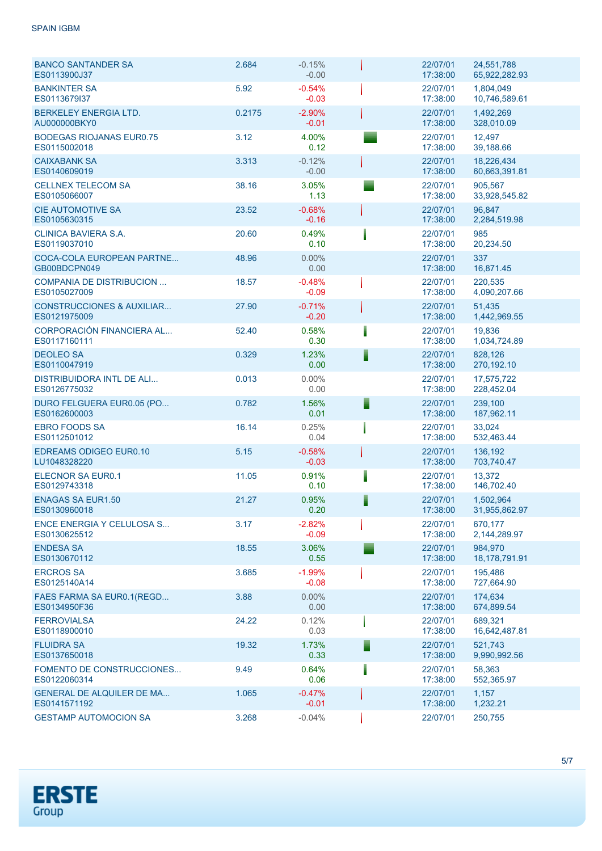SPAIN IGBM

| <b>BANCO SANTANDER SA</b><br>ES0113900J37            | 2.684  | $-0.15%$<br>$-0.00$ |   | 22/07/01<br>17:38:00 | 24.551.788<br>65,922,282.93 |
|------------------------------------------------------|--------|---------------------|---|----------------------|-----------------------------|
| <b>BANKINTER SA</b><br>ES0113679137                  | 5.92   | $-0.54%$<br>$-0.03$ |   | 22/07/01<br>17:38:00 | 1,804,049<br>10,746,589.61  |
| BERKELEY ENERGIA LTD.<br>AU000000BKY0                | 0.2175 | $-2.90%$<br>$-0.01$ |   | 22/07/01<br>17:38:00 | 1,492,269<br>328,010.09     |
| <b>BODEGAS RIOJANAS EUR0.75</b><br>ES0115002018      | 3.12   | 4.00%<br>0.12       |   | 22/07/01<br>17:38:00 | 12,497<br>39,188.66         |
| <b>CAIXABANK SA</b><br>ES0140609019                  | 3.313  | $-0.12%$<br>$-0.00$ |   | 22/07/01<br>17:38:00 | 18.226.434<br>60,663,391.81 |
| <b>CELLNEX TELECOM SA</b><br>ES0105066007            | 38.16  | 3.05%<br>1.13       |   | 22/07/01<br>17:38:00 | 905.567<br>33,928,545.82    |
| <b>CIE AUTOMOTIVE SA</b><br>ES0105630315             | 23.52  | $-0.68%$<br>$-0.16$ |   | 22/07/01<br>17:38:00 | 96,847<br>2,284,519.98      |
| CLINICA BAVIERA S.A.<br>ES0119037010                 | 20.60  | 0.49%<br>0.10       |   | 22/07/01<br>17:38:00 | 985<br>20,234.50            |
| COCA-COLA EUROPEAN PARTNE<br>GB00BDCPN049            | 48.96  | 0.00%<br>0.00       |   | 22/07/01<br>17:38:00 | 337<br>16,871.45            |
| <b>COMPANIA DE DISTRIBUCION </b><br>ES0105027009     | 18.57  | $-0.48%$<br>$-0.09$ |   | 22/07/01<br>17:38:00 | 220,535<br>4,090,207.66     |
| <b>CONSTRUCCIONES &amp; AUXILIAR</b><br>ES0121975009 | 27.90  | $-0.71%$<br>$-0.20$ |   | 22/07/01<br>17:38:00 | 51,435<br>1,442,969.55      |
| CORPORACIÓN FINANCIERA AL<br>ES0117160111            | 52.40  | 0.58%<br>0.30       |   | 22/07/01<br>17:38:00 | 19,836<br>1,034,724.89      |
| <b>DEOLEO SA</b><br>ES0110047919                     | 0.329  | 1.23%<br>0.00       | E | 22/07/01<br>17:38:00 | 828,126<br>270,192.10       |
| <b>DISTRIBUIDORA INTL DE ALI</b><br>ES0126775032     | 0.013  | $0.00\%$<br>0.00    |   | 22/07/01<br>17:38:00 | 17,575,722<br>228,452.04    |
| DURO FELGUERA EUR0.05 (PO<br>ES0162600003            | 0.782  | 1.56%<br>0.01       | E | 22/07/01<br>17:38:00 | 239,100<br>187,962.11       |
| <b>EBRO FOODS SA</b><br>ES0112501012                 | 16.14  | 0.25%<br>0.04       |   | 22/07/01<br>17:38:00 | 33,024<br>532,463.44        |
| <b>EDREAMS ODIGEO EUR0.10</b><br>LU1048328220        | 5.15   | $-0.58%$<br>$-0.03$ |   | 22/07/01<br>17:38:00 | 136,192<br>703,740.47       |
| <b>ELECNOR SA EUR0.1</b><br>ES0129743318             | 11.05  | 0.91%<br>0.10       |   | 22/07/01<br>17:38:00 | 13,372<br>146,702.40        |
| <b>ENAGAS SA EUR1.50</b><br>ES0130960018             | 21.27  | 0.95%<br>0.20       |   | 22/07/01<br>17:38:00 | 1,502,964<br>31,955,862.97  |
| ENCE ENERGIA Y CELULOSA S<br>ES0130625512            | 3.17   | $-2.82%$<br>$-0.09$ |   | 22/07/01<br>17:38:00 | 670,177<br>2,144,289.97     |
| <b>ENDESA SA</b><br>ES0130670112                     | 18.55  | 3.06%<br>0.55       |   | 22/07/01<br>17:38:00 | 984.970<br>18,178,791.91    |
| <b>ERCROS SA</b><br>ES0125140A14                     | 3.685  | $-1.99%$<br>$-0.08$ |   | 22/07/01<br>17:38:00 | 195.486<br>727,664.90       |
| FAES FARMA SA EUR0.1(REGD<br>ES0134950F36            | 3.88   | $0.00\%$<br>0.00    |   | 22/07/01<br>17:38:00 | 174.634<br>674,899.54       |
| <b>FERROVIALSA</b><br>ES0118900010                   | 24.22  | 0.12%<br>0.03       |   | 22/07/01<br>17:38:00 | 689.321<br>16,642,487.81    |
| <b>FLUIDRA SA</b><br>ES0137650018                    | 19.32  | 1.73%<br>0.33       | Е | 22/07/01<br>17:38:00 | 521,743<br>9,990,992.56     |
| FOMENTO DE CONSTRUCCIONES<br>ES0122060314            | 9.49   | 0.64%<br>0.06       |   | 22/07/01<br>17:38:00 | 58,363<br>552,365.97        |
| <b>GENERAL DE ALQUILER DE MA</b><br>ES0141571192     | 1.065  | $-0.47%$<br>$-0.01$ |   | 22/07/01<br>17:38:00 | 1,157<br>1,232.21           |
| <b>GESTAMP AUTOMOCION SA</b>                         | 3.268  | $-0.04%$            |   | 22/07/01             | 250,755                     |

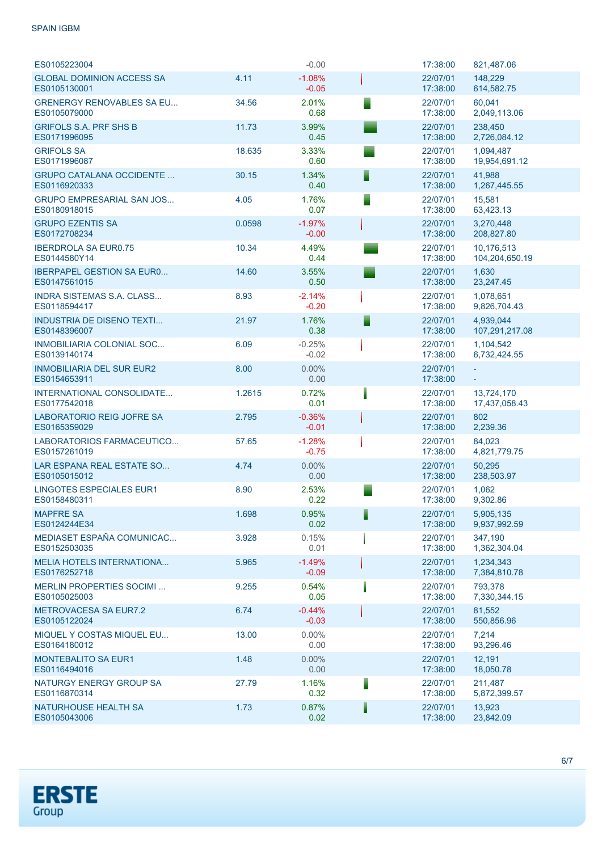### SPAIN IGBM

| ES0105223004                                     |        | $-0.00$             | 17:38:00             | 821.487.06                   |
|--------------------------------------------------|--------|---------------------|----------------------|------------------------------|
| <b>GLOBAL DOMINION ACCESS SA</b><br>ES0105130001 | 4.11   | $-1.08%$<br>$-0.05$ | 22/07/01<br>17:38:00 | 148,229<br>614,582.75        |
| <b>GRENERGY RENOVABLES SA EU</b><br>ES0105079000 | 34.56  | 2.01%<br>0.68       | 22/07/01<br>17:38:00 | 60,041<br>2,049,113.06       |
| <b>GRIFOLS S.A. PRF SHS B</b><br>ES0171996095    | 11.73  | 3.99%<br>0.45       | 22/07/01<br>17:38:00 | 238,450<br>2,726,084.12      |
| <b>GRIFOLS SA</b><br>ES0171996087                | 18.635 | 3.33%<br>0.60       | 22/07/01<br>17:38:00 | 1,094,487<br>19,954,691.12   |
| <b>GRUPO CATALANA OCCIDENTE </b><br>ES0116920333 | 30.15  | 1.34%<br>0.40       | 22/07/01<br>17:38:00 | 41,988<br>1,267,445.55       |
| <b>GRUPO EMPRESARIAL SAN JOS</b><br>ES0180918015 | 4.05   | 1.76%<br>0.07       | 22/07/01<br>17:38:00 | 15,581<br>63,423.13          |
| <b>GRUPO EZENTIS SA</b><br>ES0172708234          | 0.0598 | $-1.97%$<br>$-0.00$ | 22/07/01<br>17:38:00 | 3,270,448<br>208,827.80      |
| <b>IBERDROLA SA EUR0.75</b><br>ES0144580Y14      | 10.34  | 4.49%<br>0.44       | 22/07/01<br>17:38:00 | 10,176,513<br>104,204,650.19 |
| <b>IBERPAPEL GESTION SA EURO</b><br>ES0147561015 | 14.60  | 3.55%<br>0.50       | 22/07/01<br>17:38:00 | 1,630<br>23,247.45           |
| <b>INDRA SISTEMAS S.A. CLASS</b><br>ES0118594417 | 8.93   | $-2.14%$<br>$-0.20$ | 22/07/01<br>17:38:00 | 1,078,651<br>9,826,704.43    |
| <b>INDUSTRIA DE DISENO TEXTI</b><br>ES0148396007 | 21.97  | 1.76%<br>0.38       | 22/07/01<br>17:38:00 | 4.939.044<br>107,291,217.08  |
| <b>INMOBILIARIA COLONIAL SOC</b><br>ES0139140174 | 6.09   | $-0.25%$<br>$-0.02$ | 22/07/01<br>17:38:00 | 1,104,542<br>6,732,424.55    |
| <b>INMOBILIARIA DEL SUR EUR2</b><br>ES0154653911 | 8.00   | $0.00\%$<br>0.00    | 22/07/01<br>17:38:00 |                              |
| INTERNATIONAL CONSOLIDATE<br>ES0177542018        | 1.2615 | 0.72%<br>0.01       | 22/07/01<br>17:38:00 | 13,724,170<br>17,437,058.43  |
| <b>LABORATORIO REIG JOFRE SA</b><br>ES0165359029 | 2.795  | $-0.36%$<br>$-0.01$ | 22/07/01<br>17:38:00 | 802<br>2,239.36              |
| LABORATORIOS FARMACEUTICO<br>ES0157261019        | 57.65  | $-1.28%$<br>$-0.75$ | 22/07/01<br>17:38:00 | 84,023<br>4,821,779.75       |
| LAR ESPANA REAL ESTATE SO<br>ES0105015012        | 4.74   | $0.00\%$<br>0.00    | 22/07/01<br>17:38:00 | 50,295<br>238,503.97         |
| <b>LINGOTES ESPECIALES EUR1</b><br>ES0158480311  | 8.90   | 2.53%<br>0.22       | 22/07/01<br>17:38:00 | 1.062<br>9,302.86            |
| <b>MAPFRE SA</b><br>ES0124244E34                 | 1.698  | 0.95%<br>0.02       | 22/07/01<br>17:38:00 | 5,905,135<br>9,937,992.59    |
| MEDIASET ESPAÑA COMUNICAC<br>ES0152503035        | 3.928  | 0.15%<br>0.01       | 22/07/01<br>17:38:00 | 347,190<br>1,362,304.04      |
| <b>MELIA HOTELS INTERNATIONA</b><br>ES0176252718 | 5.965  | $-1.49%$<br>$-0.09$ | 22/07/01<br>17:38:00 | 1,234,343<br>7,384,810.78    |
| <b>MERLIN PROPERTIES SOCIMI</b><br>ES0105025003  | 9.255  | 0.54%<br>0.05       | 22/07/01<br>17:38:00 | 793,378<br>7,330,344.15      |
| <b>METROVACESA SA EUR7.2</b><br>ES0105122024     | 6.74   | $-0.44%$<br>$-0.03$ | 22/07/01<br>17:38:00 | 81,552<br>550,856.96         |
| MIQUEL Y COSTAS MIQUEL EU<br>ES0164180012        | 13.00  | $0.00\%$<br>0.00    | 22/07/01<br>17:38:00 | 7,214<br>93,296.46           |
| <b>MONTEBALITO SA EUR1</b><br>ES0116494016       | 1.48   | $0.00\%$<br>0.00    | 22/07/01<br>17:38:00 | 12,191<br>18,050.78          |
| NATURGY ENERGY GROUP SA<br>ES0116870314          | 27.79  | 1.16%<br>0.32       | 22/07/01<br>17:38:00 | 211,487<br>5,872,399.57      |
| <b>NATURHOUSE HEALTH SA</b><br>ES0105043006      | 1.73   | 0.87%<br>0.02       | 22/07/01<br>17:38:00 | 13,923<br>23,842.09          |